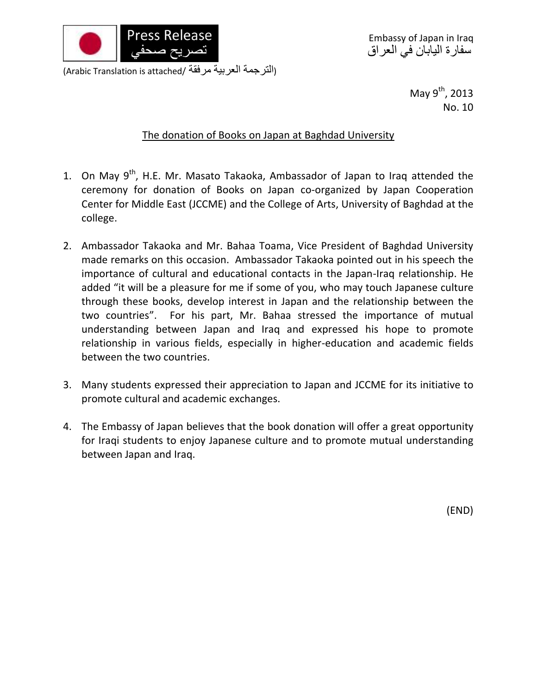

Embassy of Japan in Iraq سفارة اليابان في العراق

(الترجمة العربية مرفقة /Arabic Translation is attached)

May  $9^{th}$ , 2013 No. 10

## The donation of Books on Japan at Baghdad University

- 1. On May 9<sup>th</sup>, H.E. Mr. Masato Takaoka, Ambassador of Japan to Iraq attended the ceremony for donation of Books on Japan co-organized by Japan Cooperation Center for Middle East (JCCME) and the College of Arts, University of Baghdad at the college.
- 2. Ambassador Takaoka and Mr. Bahaa Toama, Vice President of Baghdad University made remarks on this occasion. Ambassador Takaoka pointed out in his speech the importance of cultural and educational contacts in the Japan-Iraq relationship. He added "it will be a pleasure for me if some of you, who may touch Japanese culture through these books, develop interest in Japan and the relationship between the two countries". For his part, Mr. Bahaa stressed the importance of mutual understanding between Japan and Iraq and expressed his hope to promote relationship in various fields, especially in higher-education and academic fields between the two countries.
- 3. Many students expressed their appreciation to Japan and JCCME for its initiative to promote cultural and academic exchanges.
- 4. The Embassy of Japan believes that the book donation will offer a great opportunity for Iraqi students to enjoy Japanese culture and to promote mutual understanding between Japan and Iraq.

(END)